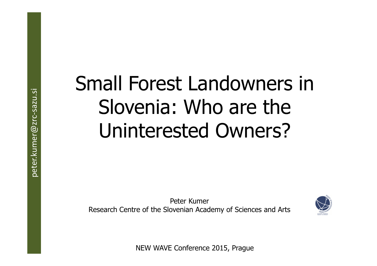# Small Forest Landowners in Slovenia: Who are the Uninterested Owners?

Peter KumerResearch Centre of the Slovenian Academy of Sciences and Arts



NEW WAVE Conference 2015, Prague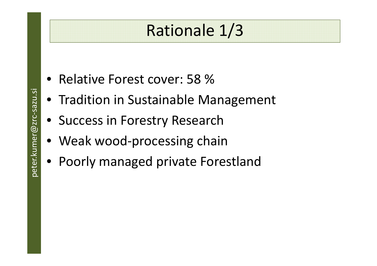#### Rationale 1/3

- Relative Forest cover: 58 %
- Tradition in Sustainable Management
- Success in Forestry Research
- Weak wood-processing chain
- Poorly managed private Forestland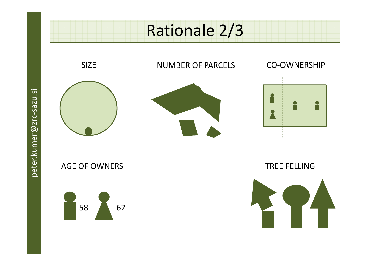#### Rationale 2/3

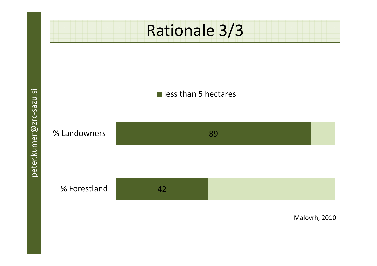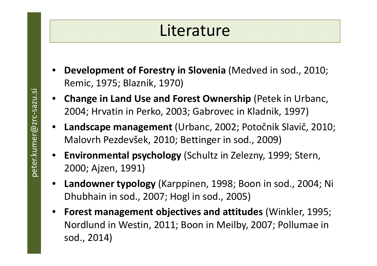#### **Literature**

- • **Development of Forestry in Slovenia** (Medved in sod., 2010; Remic, 1975; Blaznik, 1970)
- **Change in Land Use and Forest Ownership** (Petek in Urbanc, 2004; Hrvatin in Perko, 2003; Gabrovec in Kladnik, 1997)
- • **Landscape management** (Urbanc, 2002; Potočnik Slavič, 2010; Malovrh Pezdevšek, 2010; Bettinger in sod., 2009)
- **Environmental psychology** (Schultz in Zelezny, 1999; Stern, 2000; Ajzen, 1991)
- $\bullet$  **Landowner typology** (Karppinen, 1998; Boon in sod., 2004; Ni Dhubhain in sod., 2007; Hogl in sod., 2005)
- • **Forest management objectives and attitudes** (Winkler, 1995; Nordlund in Westin, 2011; Boon in Meilby, 2007; Pollumae in sod., 2014)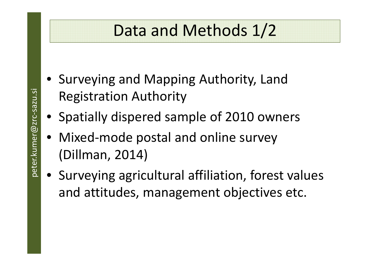#### Data and Methods 1/2

- Surveying and Mapping Authority, LandRegistration Authority
- Spatially dispered sample of 2010 owners
- Mixed-mode postal and online survey (Dillman, 2014)
- Surveying agricultural affiliation, forest values and attitudes, management objectives etc.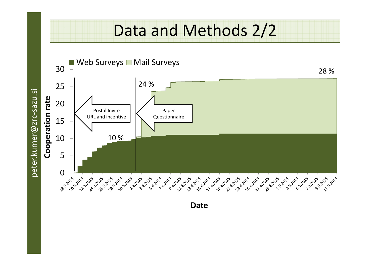#### Data and Methods 2/2



**Date**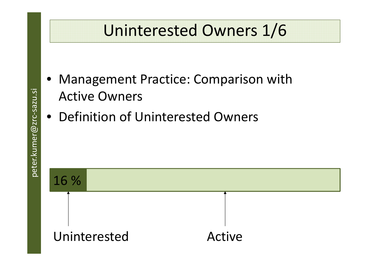#### Uninterested Owners 1/6

- Management Practice: Comparison withActive Owners
- Definition of Uninterested Owners

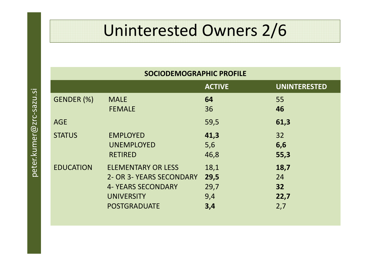## Uninterested Owners 2/6

| <b>SOCIODEMOGRAPHIC PROFILE</b> |                           |               |                     |  |  |  |
|---------------------------------|---------------------------|---------------|---------------------|--|--|--|
|                                 |                           | <b>ACTIVE</b> | <b>UNINTERESTED</b> |  |  |  |
| GENDER (%)                      | <b>MALE</b>               | 64            | 55                  |  |  |  |
|                                 | <b>FEMALE</b>             | 36            | 46                  |  |  |  |
| <b>AGE</b>                      |                           | 59,5          | 61,3                |  |  |  |
| <b>STATUS</b>                   | <b>EMPLOYED</b>           | 41,3          | 32                  |  |  |  |
|                                 | <b>UNEMPLOYED</b>         | 5,6           | 6,6                 |  |  |  |
|                                 | <b>RETIRED</b>            | 46,8          | 55,3                |  |  |  |
| <b>EDUCATION</b>                | <b>ELEMENTARY OR LESS</b> | 18,1          | 18,7                |  |  |  |
|                                 | 2- OR 3- YEARS SECONDARY  | 29,5          | 24                  |  |  |  |
|                                 | <b>4- YEARS SECONDARY</b> | 29,7          | 32                  |  |  |  |
|                                 | <b>UNIVERSITY</b>         | 9,4           | 22,7                |  |  |  |
|                                 | <b>POSTGRADUATE</b>       | 3,4           | 2,7                 |  |  |  |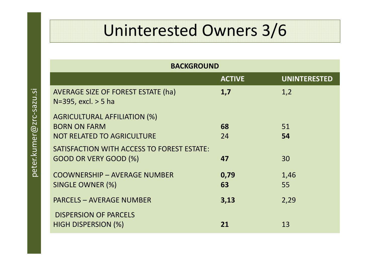## Uninterested Owners 3/6

| <b>BACKGROUND</b>                                                     |               |                     |  |  |  |
|-----------------------------------------------------------------------|---------------|---------------------|--|--|--|
|                                                                       | <b>ACTIVE</b> | <b>UNINTERESTED</b> |  |  |  |
| <b>AVERAGE SIZE OF FOREST ESTATE (ha)</b><br>$N=395$ , excl. $> 5$ ha | 1,7           | 1,2                 |  |  |  |
| <b>AGRICULTURAL AFFILIATION (%)</b>                                   |               |                     |  |  |  |
| <b>BORN ON FARM</b>                                                   | 68            | 51                  |  |  |  |
| <b>NOT RELATED TO AGRICULTURE</b>                                     | 24            | 54                  |  |  |  |
| SATISFACTION WITH ACCESS TO FOREST ESTATE:                            |               |                     |  |  |  |
| GOOD OR VERY GOOD (%)                                                 | 47            | 30                  |  |  |  |
| <b>COOWNERSHIP - AVERAGE NUMBER</b>                                   | 0,79          | 1,46                |  |  |  |
| SINGLE OWNER (%)                                                      | 63            | 55                  |  |  |  |
| <b>PARCELS - AVERAGE NUMBER</b>                                       | 3,13          | 2,29                |  |  |  |
| <b>DISPERSION OF PARCELS</b>                                          |               |                     |  |  |  |
| <b>HIGH DISPERSION (%)</b>                                            | 21            | 13                  |  |  |  |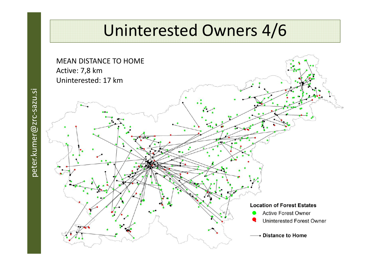#### Uninterested Owners 4/6

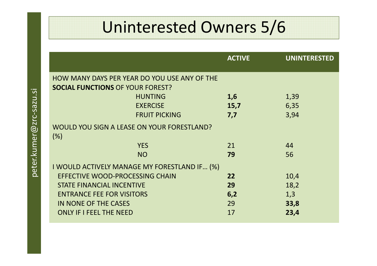#### Uninterested Owners 5/6

|      |                                              | <b>ACTIVE</b> | <b>UNINTERESTED</b> |
|------|----------------------------------------------|---------------|---------------------|
|      | HOW MANY DAYS PER YEAR DO YOU USE ANY OF THE |               |                     |
|      | <b>SOCIAL FUNCTIONS OF YOUR FOREST?</b>      |               |                     |
|      | <b>HUNTING</b>                               | 1,6           | 1,39                |
|      | <b>EXERCISE</b>                              | 15,7          | 6,35                |
|      | <b>FRUIT PICKING</b>                         | 7,7           | 3,94                |
|      | WOULD YOU SIGN A LEASE ON YOUR FORESTLAND?   |               |                     |
| (% ) |                                              |               |                     |
|      | <b>YES</b>                                   | 21            | 44                  |
|      | <b>NO</b>                                    | 79            | 56                  |
|      | I WOULD ACTIVELY MANAGE MY FORESTLAND IF (%) |               |                     |
|      | EFFECTIVE WOOD-PROCESSING CHAIN              | 22            | 10,4                |
|      | <b>STATE FINANCIAL INCENTIVE</b>             | 29            | 18,2                |
|      | <b>ENTRANCE FEE FOR VISITORS</b>             | 6,2           | 1,3                 |
|      | IN NONE OF THE CASES                         | 29            | 33,8                |
|      | <b>ONLY IF I FEEL THE NEED</b>               | 17            | 23,4                |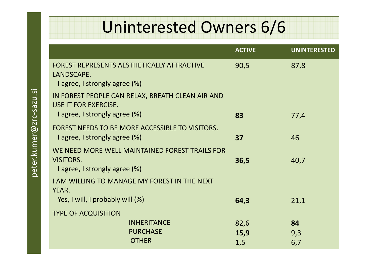#### Uninterested Owners 6/6

|                                                                                                     | <b>ACTIVE</b> | <b>UNINTERESTED</b> |
|-----------------------------------------------------------------------------------------------------|---------------|---------------------|
| <b>FOREST REPRESENTS AESTHETICALLY ATTRACTIVE</b><br>LANDSCAPE.<br>I agree, I strongly agree $(\%)$ | 90,5          | 87,8                |
| IN FOREST PEOPLE CAN RELAX, BREATH CLEAN AIR AND<br>USE IT FOR EXERCISE.                            |               |                     |
| I agree, I strongly agree (%)                                                                       | 83            | 77,4                |
| FOREST NEEDS TO BE MORE ACCESSIBLE TO VISITORS.<br>I agree, I strongly agree (%)                    | 37            | 46                  |
| WE NEED MORE WELL MAINTAINED FOREST TRAILS FOR<br><b>VISITORS.</b><br>I agree, I strongly agree (%) | 36,5          | 40,7                |
| <b>I AM WILLING TO MANAGE MY FOREST IN THE NEXT</b><br>YEAR.                                        |               |                     |
| Yes, I will, I probably will (%)                                                                    | 64,3          | 21,1                |
| <b>TYPE OF ACQUISITION</b>                                                                          |               |                     |
| <b>INHERITANCE</b>                                                                                  | 82,6          | 84                  |
| <b>PURCHASE</b>                                                                                     | 15,9          | 9,3                 |
| <b>OTHER</b>                                                                                        | 1,5           | 6,7                 |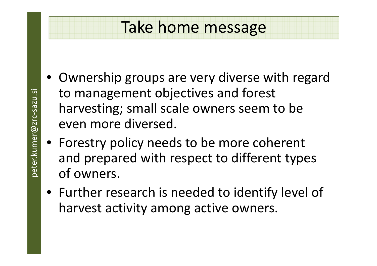#### Take home message

- Ownership groups are very diverse with regardto management objectives and forest harvesting; small scale owners seem to be even more diversed.
- Forestry policy needs to be more coherent and prepared with respect to different types of owners.
- Further research is needed to identify level of harvest activity among active owners.